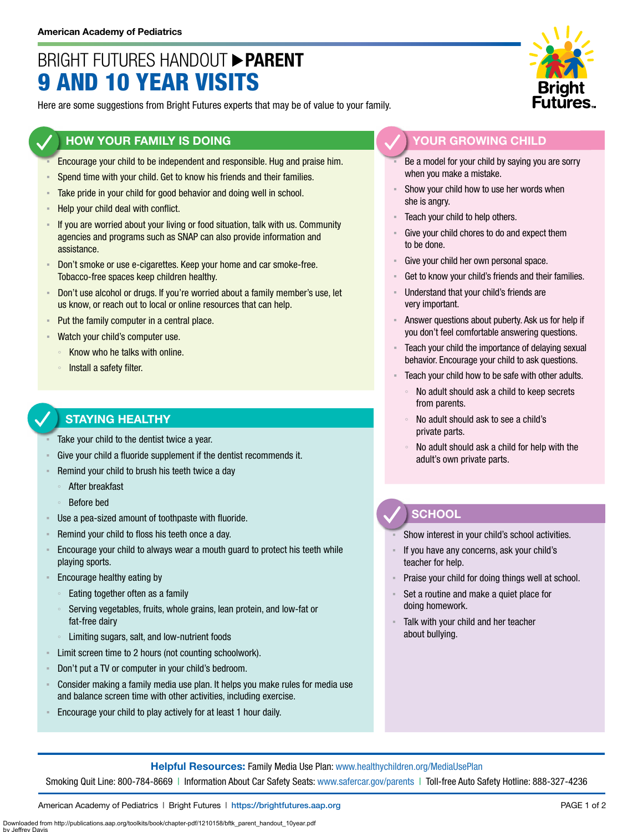## BRIGHT FUTURES HANDOUT **PARENT** 9 AND 10 YEAR VISITS

Here are some suggestions from Bright Futures experts that may be of value to your family.

### **HOW YOUR FAMILY IS DOING**

- Encourage your child to be independent and responsible. Hug and praise him.
- Spend time with your child. Get to know his friends and their families.
- Take pride in your child for good behavior and doing well in school.
- Help your child deal with conflict.
- If you are worried about your living or food situation, talk with us. Community agencies and programs such as SNAP can also provide information and assistance.
- Don't smoke or use e-cigarettes. Keep your home and car smoke-free. Tobacco-free spaces keep children healthy.
- Don't use alcohol or drugs. If you're worried about a family member's use, let us know, or reach out to local or online resources that can help.
- Put the family computer in a central place.
- Watch your child's computer use.
	- Know who he talks with online.
	- Install a safety filter.

## **STAYING HEALTHY**

- Take your child to the dentist twice a year.
- Give your child a fluoride supplement if the dentist recommends it.
- Remind your child to brush his teeth twice a day
	- After breakfast
	- Before bed
- Use a pea-sized amount of toothpaste with fluoride.
- Remind your child to floss his teeth once a day.
- **Encourage your child to always wear a mouth guard to protect his teeth while** playing sports.
- Encourage healthy eating by
	- Eating together often as a family
	- Serving vegetables, fruits, whole grains, lean protein, and low-fat or fat-free dairy
	- Limiting sugars, salt, and low-nutrient foods
- Limit screen time to 2 hours (not counting schoolwork).
- Don't put a TV or computer in your child's bedroom.
- Consider making a family media use plan. It helps you make rules for media use and balance screen time with other activities, including exercise.
- Encourage your child to play actively for at least 1 hour daily.



#### **YOUR GROWING CHILD**

- Be a model for your child by saying you are sorry when you make a mistake.
- Show your child how to use her words when she is angry.
- Teach your child to help others.
- Give your child chores to do and expect them to be done.
- Give your child her own personal space.
- Get to know your child's friends and their families.
- Understand that your child's friends are very important.
- Answer questions about puberty. Ask us for help if you don't feel comfortable answering questions.
- Teach your child the importance of delaying sexual behavior. Encourage your child to ask questions.
- Teach your child how to be safe with other adults.
	- No adult should ask a child to keep secrets from parents.
	- No adult should ask to see a child's private parts.
	- No adult should ask a child for help with the adult's own private parts.

## **SCHOOL**

Show interest in your child's school activities.

- If you have any concerns, ask your child's teacher for help.
- Praise your child for doing things well at school.
- Set a routine and make a quiet place for doing homework.
- Talk with your child and her teacher about bullying.

**Helpful Resources:** Family Media Use Plan: [www.healthychildren.org/MediaUsePlan](https://www.healthychildren.org/English/media/Pages/default.aspx)

Smoking Quit Line: 800-784-8669 | Information About Car Safety Seats: [www.safercar.gov/parents](https://www.nhtsa.gov/parents-and-caregivers) | Toll-free Auto Safety Hotline: 888-327-4236

American Academy of Pediatrics | Bright Futures | https://[brightfutures.aap.org](https://brightfutures.aap.org/Pages/default.aspx) PAGE 1 of 2